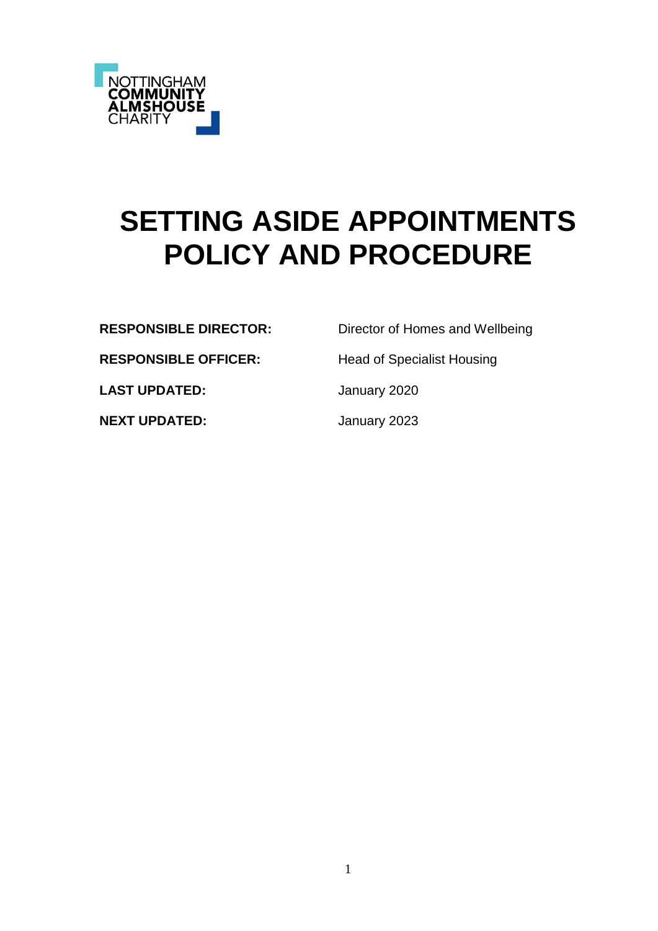

# **SETTING ASIDE APPOINTMENTS POLICY AND PROCEDURE**

**RESPONSIBLE DIRECTOR:** Director of Homes and Wellbeing

**RESPONSIBLE OFFICER:** Head of Specialist Housing

LAST UPDATED: January 2020

**NEXT UPDATED:** January 2023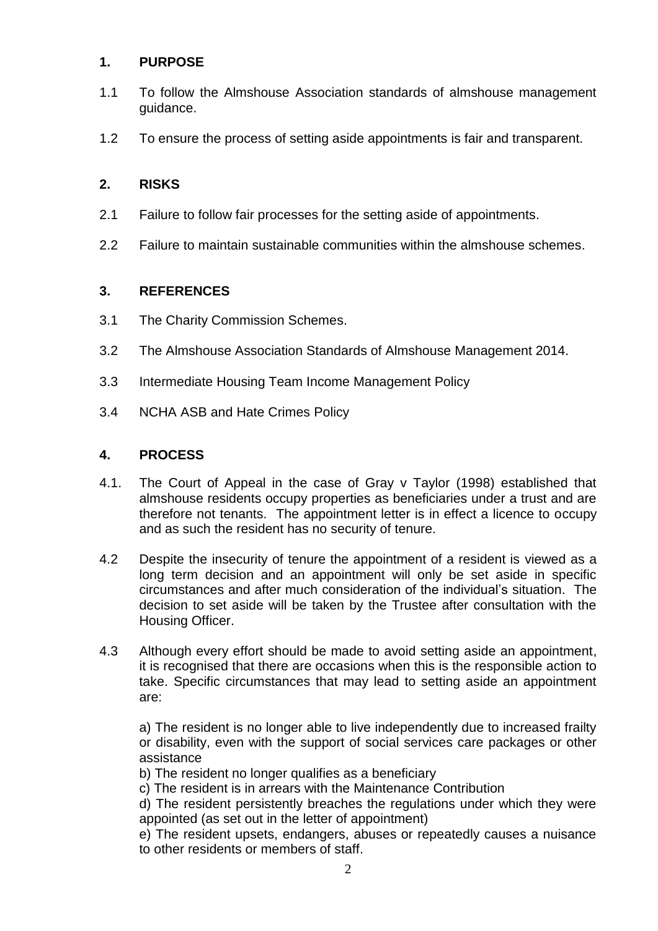## **1. PURPOSE**

- 1.1 To follow the Almshouse Association standards of almshouse management guidance.
- 1.2 To ensure the process of setting aside appointments is fair and transparent.

## **2. RISKS**

- 2.1 Failure to follow fair processes for the setting aside of appointments.
- 2.2 Failure to maintain sustainable communities within the almshouse schemes.

#### **3. REFERENCES**

- 3.1 The Charity Commission Schemes.
- 3.2 The Almshouse Association Standards of Almshouse Management 2014.
- 3.3 Intermediate Housing Team Income Management Policy
- 3.4 NCHA ASB and Hate Crimes Policy

## **4. PROCESS**

- 4.1. The Court of Appeal in the case of Gray v Taylor (1998) established that almshouse residents occupy properties as beneficiaries under a trust and are therefore not tenants. The appointment letter is in effect a licence to occupy and as such the resident has no security of tenure.
- 4.2 Despite the insecurity of tenure the appointment of a resident is viewed as a long term decision and an appointment will only be set aside in specific circumstances and after much consideration of the individual's situation. The decision to set aside will be taken by the Trustee after consultation with the Housing Officer.
- 4.3 Although every effort should be made to avoid setting aside an appointment, it is recognised that there are occasions when this is the responsible action to take. Specific circumstances that may lead to setting aside an appointment are:

a) The resident is no longer able to live independently due to increased frailty or disability, even with the support of social services care packages or other assistance

b) The resident no longer qualifies as a beneficiary

c) The resident is in arrears with the Maintenance Contribution

d) The resident persistently breaches the regulations under which they were appointed (as set out in the letter of appointment)

e) The resident upsets, endangers, abuses or repeatedly causes a nuisance to other residents or members of staff.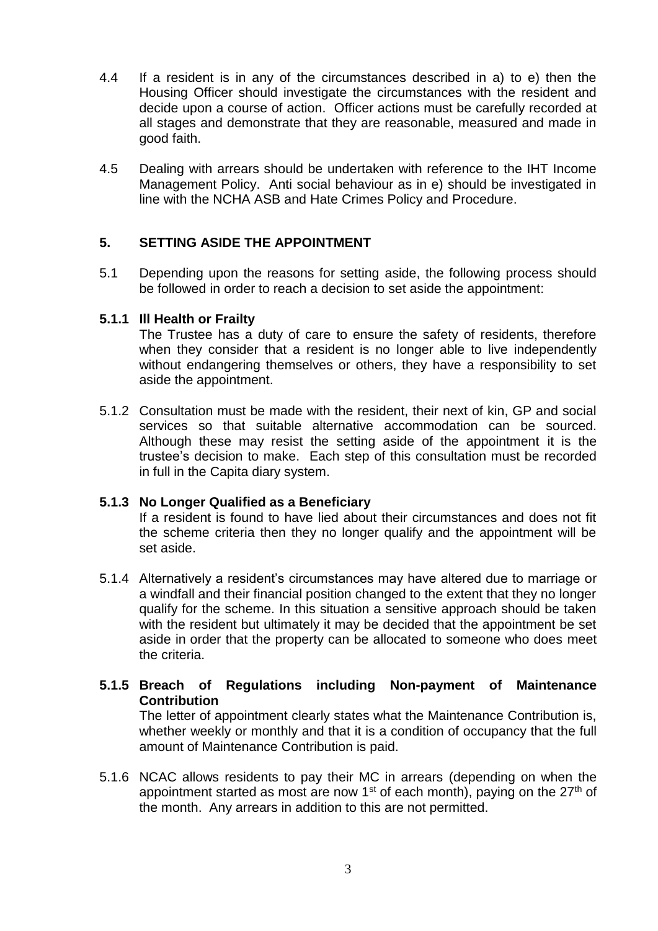- 4.4 If a resident is in any of the circumstances described in a) to e) then the Housing Officer should investigate the circumstances with the resident and decide upon a course of action. Officer actions must be carefully recorded at all stages and demonstrate that they are reasonable, measured and made in good faith.
- 4.5 Dealing with arrears should be undertaken with reference to the IHT Income Management Policy. Anti social behaviour as in e) should be investigated in line with the NCHA ASB and Hate Crimes Policy and Procedure.

## **5. SETTING ASIDE THE APPOINTMENT**

5.1 Depending upon the reasons for setting aside, the following process should be followed in order to reach a decision to set aside the appointment:

#### **5.1.1 Ill Health or Frailty**

The Trustee has a duty of care to ensure the safety of residents, therefore when they consider that a resident is no longer able to live independently without endangering themselves or others, they have a responsibility to set aside the appointment.

5.1.2 Consultation must be made with the resident, their next of kin, GP and social services so that suitable alternative accommodation can be sourced. Although these may resist the setting aside of the appointment it is the trustee's decision to make. Each step of this consultation must be recorded in full in the Capita diary system.

#### **5.1.3 No Longer Qualified as a Beneficiary**

If a resident is found to have lied about their circumstances and does not fit the scheme criteria then they no longer qualify and the appointment will be set aside.

- 5.1.4 Alternatively a resident's circumstances may have altered due to marriage or a windfall and their financial position changed to the extent that they no longer qualify for the scheme. In this situation a sensitive approach should be taken with the resident but ultimately it may be decided that the appointment be set aside in order that the property can be allocated to someone who does meet the criteria.
- **5.1.5 Breach of Regulations including Non-payment of Maintenance Contribution**

The letter of appointment clearly states what the Maintenance Contribution is, whether weekly or monthly and that it is a condition of occupancy that the full amount of Maintenance Contribution is paid.

5.1.6 NCAC allows residents to pay their MC in arrears (depending on when the appointment started as most are now 1<sup>st</sup> of each month), paying on the  $27<sup>th</sup>$  of the month. Any arrears in addition to this are not permitted.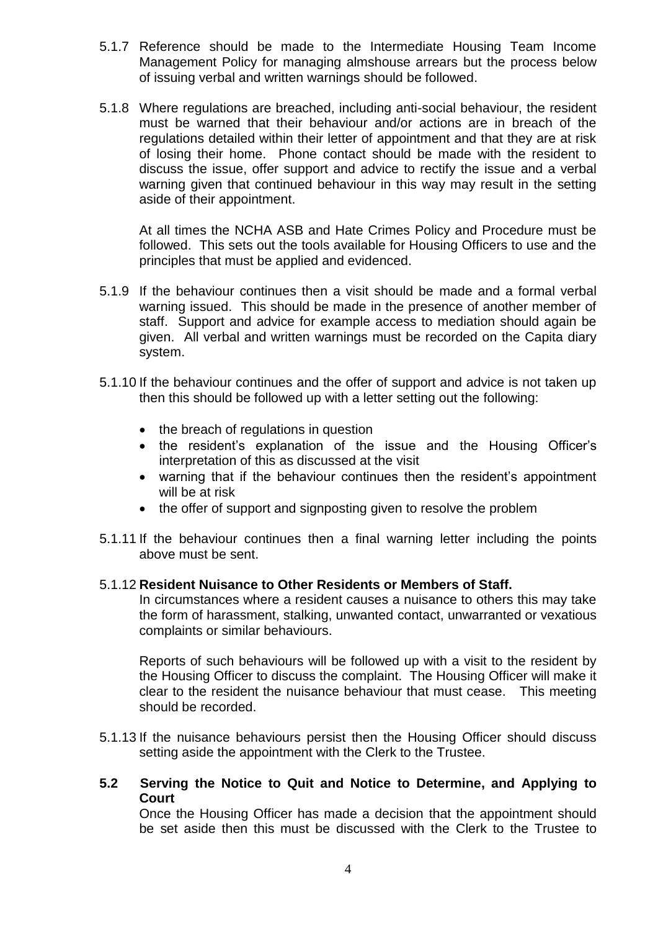- 5.1.7 Reference should be made to the Intermediate Housing Team Income Management Policy for managing almshouse arrears but the process below of issuing verbal and written warnings should be followed.
- 5.1.8 Where regulations are breached, including anti-social behaviour, the resident must be warned that their behaviour and/or actions are in breach of the regulations detailed within their letter of appointment and that they are at risk of losing their home. Phone contact should be made with the resident to discuss the issue, offer support and advice to rectify the issue and a verbal warning given that continued behaviour in this way may result in the setting aside of their appointment.

At all times the NCHA ASB and Hate Crimes Policy and Procedure must be followed. This sets out the tools available for Housing Officers to use and the principles that must be applied and evidenced.

- 5.1.9 If the behaviour continues then a visit should be made and a formal verbal warning issued. This should be made in the presence of another member of staff. Support and advice for example access to mediation should again be given. All verbal and written warnings must be recorded on the Capita diary system.
- 5.1.10 If the behaviour continues and the offer of support and advice is not taken up then this should be followed up with a letter setting out the following:
	- the breach of regulations in question
	- the resident's explanation of the issue and the Housing Officer's interpretation of this as discussed at the visit
	- warning that if the behaviour continues then the resident's appointment will be at risk
	- the offer of support and signposting given to resolve the problem
- 5.1.11 If the behaviour continues then a final warning letter including the points above must be sent.

#### 5.1.12 **Resident Nuisance to Other Residents or Members of Staff.**

In circumstances where a resident causes a nuisance to others this may take the form of harassment, stalking, unwanted contact, unwarranted or vexatious complaints or similar behaviours.

Reports of such behaviours will be followed up with a visit to the resident by the Housing Officer to discuss the complaint. The Housing Officer will make it clear to the resident the nuisance behaviour that must cease. This meeting should be recorded.

- 5.1.13 If the nuisance behaviours persist then the Housing Officer should discuss setting aside the appointment with the Clerk to the Trustee.
- **5.2 Serving the Notice to Quit and Notice to Determine, and Applying to Court**

Once the Housing Officer has made a decision that the appointment should be set aside then this must be discussed with the Clerk to the Trustee to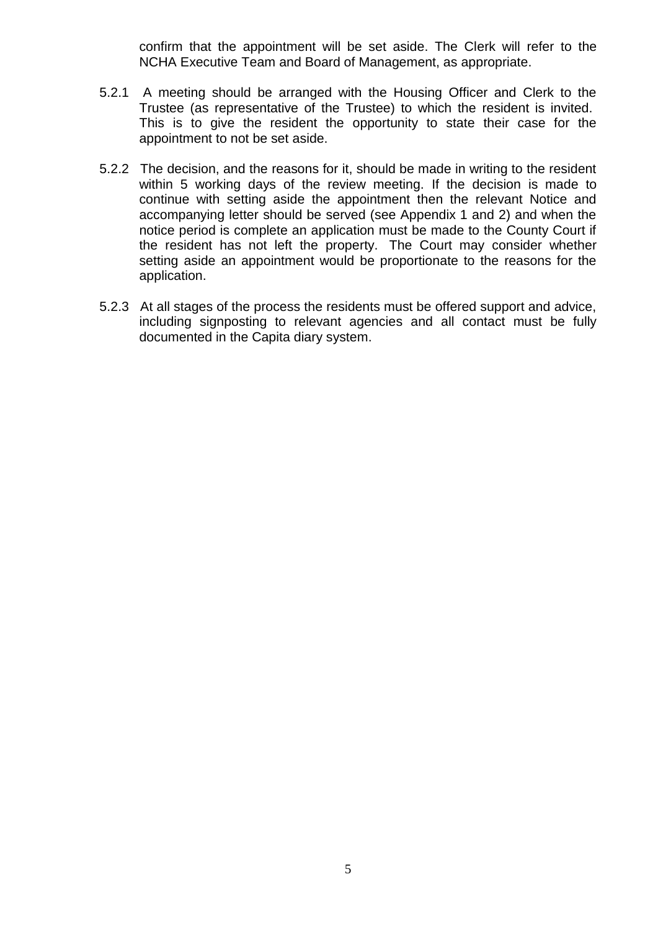confirm that the appointment will be set aside. The Clerk will refer to the NCHA Executive Team and Board of Management, as appropriate.

- 5.2.1 A meeting should be arranged with the Housing Officer and Clerk to the Trustee (as representative of the Trustee) to which the resident is invited. This is to give the resident the opportunity to state their case for the appointment to not be set aside.
- 5.2.2 The decision, and the reasons for it, should be made in writing to the resident within 5 working days of the review meeting. If the decision is made to continue with setting aside the appointment then the relevant Notice and accompanying letter should be served (see Appendix 1 and 2) and when the notice period is complete an application must be made to the County Court if the resident has not left the property. The Court may consider whether setting aside an appointment would be proportionate to the reasons for the application.
- 5.2.3 At all stages of the process the residents must be offered support and advice, including signposting to relevant agencies and all contact must be fully documented in the Capita diary system.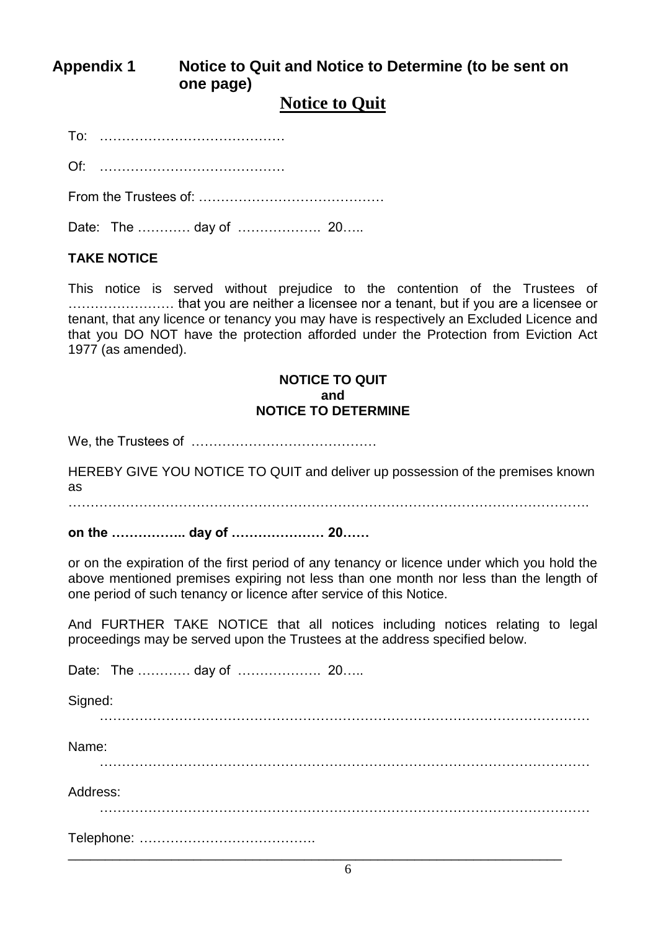# **Appendix 1 Notice to Quit and Notice to Determine (to be sent on one page)**

# **Notice to Quit**

To: ……………………………………

Of: ……………………………………

From the Trustees of: ……………………………………

Date: The ………… day of ………………. 20…..

## **TAKE NOTICE**

This notice is served without prejudice to the contention of the Trustees of …………………… that you are neither a licensee nor a tenant, but if you are a licensee or tenant, that any licence or tenancy you may have is respectively an Excluded Licence and that you DO NOT have the protection afforded under the Protection from Eviction Act 1977 (as amended).

#### **NOTICE TO QUIT and NOTICE TO DETERMINE**

We, the Trustees of ……………………………………

HEREBY GIVE YOU NOTICE TO QUIT and deliver up possession of the premises known as

. The same state of the same state of the same state of the same state of the same state of the same state of the same state of the same state of the same state of the same state of the same state of the same state of the

**on the …………….. day of ………………… 20……**

or on the expiration of the first period of any tenancy or licence under which you hold the above mentioned premises expiring not less than one month nor less than the length of one period of such tenancy or licence after service of this Notice.

And FURTHER TAKE NOTICE that all notices including notices relating to legal proceedings may be served upon the Trustees at the address specified below.

Date: The ………… day of ………………. 20…..

Signed:

…………………………………………………………………………………………………

Name:

…………………………………………………………………………………………………

Address:

…………………………………………………………………………………………………

| $\overline{\phantom{a}}$ |  |  |
|--------------------------|--|--|
|                          |  |  |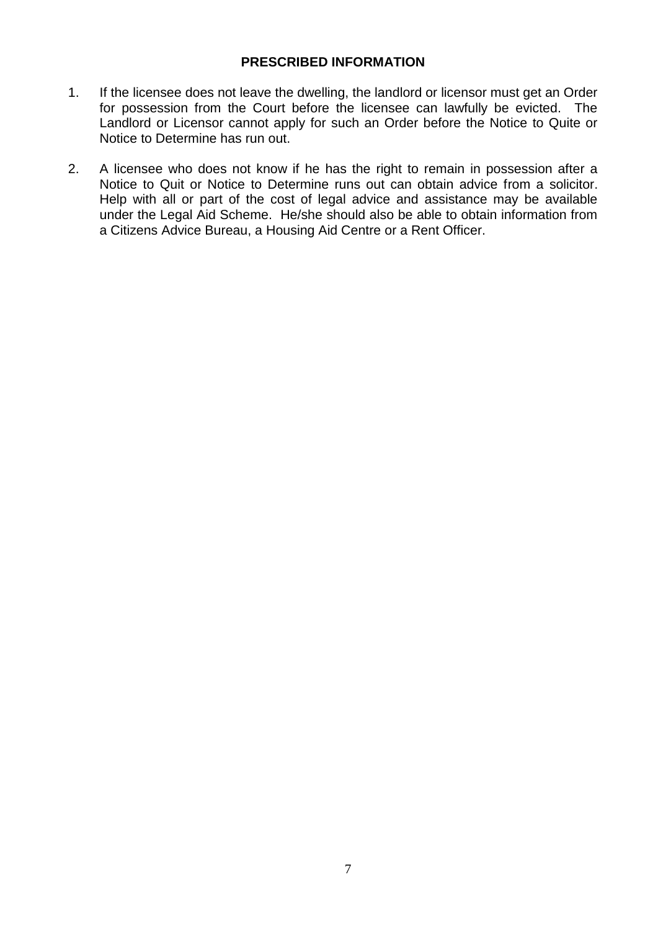#### **PRESCRIBED INFORMATION**

- 1. If the licensee does not leave the dwelling, the landlord or licensor must get an Order for possession from the Court before the licensee can lawfully be evicted. The Landlord or Licensor cannot apply for such an Order before the Notice to Quite or Notice to Determine has run out.
- 2. A licensee who does not know if he has the right to remain in possession after a Notice to Quit or Notice to Determine runs out can obtain advice from a solicitor. Help with all or part of the cost of legal advice and assistance may be available under the Legal Aid Scheme. He/she should also be able to obtain information from a Citizens Advice Bureau, a Housing Aid Centre or a Rent Officer.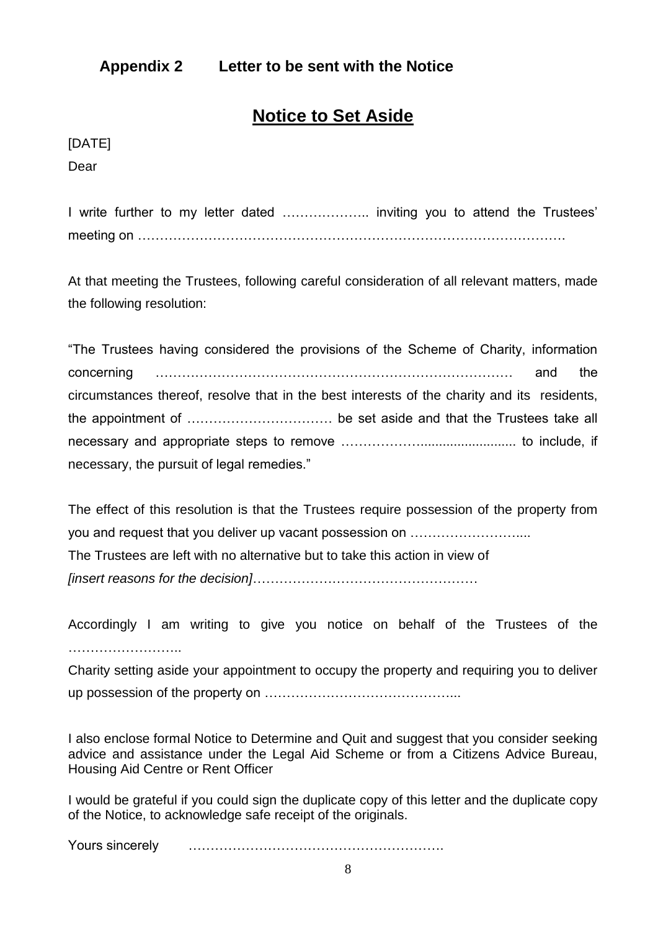# **Appendix 2 Letter to be sent with the Notice**

# **Notice to Set Aside**

[DATE] Dear

I write further to my letter dated ……………….. inviting you to attend the Trustees' meeting on …………………………………………………………………………………….

At that meeting the Trustees, following careful consideration of all relevant matters, made the following resolution:

| "The Trustees having considered the provisions of the Scheme of Charity, information        |     |
|---------------------------------------------------------------------------------------------|-----|
|                                                                                             | the |
| circumstances thereof, resolve that in the best interests of the charity and its residents, |     |
|                                                                                             |     |
|                                                                                             |     |
| necessary, the pursuit of legal remedies."                                                  |     |

The effect of this resolution is that the Trustees require possession of the property from you and request that you deliver up vacant possession on …………………….... The Trustees are left with no alternative but to take this action in view of *[insert reasons for the decision]*……………………………………………

Accordingly I am writing to give you notice on behalf of the Trustees of the ……………………………

Charity setting aside your appointment to occupy the property and requiring you to deliver up possession of the property on ……………………………………...

I also enclose formal Notice to Determine and Quit and suggest that you consider seeking advice and assistance under the Legal Aid Scheme or from a Citizens Advice Bureau, Housing Aid Centre or Rent Officer

I would be grateful if you could sign the duplicate copy of this letter and the duplicate copy of the Notice, to acknowledge safe receipt of the originals.

Yours sincerely ………………………………………………….